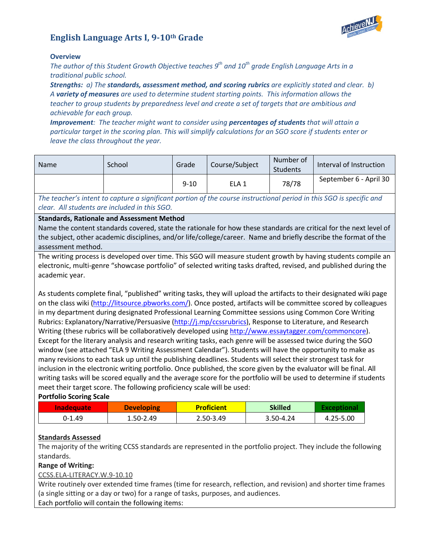# **English Language Arts I, 9-10th Grade**



#### **Overview**

*The author of this Student Growth Objective teaches 9th and 10th grade English Language Arts in a traditional public school.* 

*Strengths: a) The standards, assessment method, and scoring rubrics are explicitly stated and clear. b) A variety of measures are used to determine student starting points. This information allows the teacher to group students by preparedness level and create a set of targets that are ambitious and achievable for each group.* 

*Improvement: The teacher might want to consider using percentages of students that will attain a particular target in the scoring plan. This will simplify calculations for an SGO score if students enter or leave the class throughout the year.*

| <b>Name</b> | School | Grade    | Course/Subject | Number of<br>Students | Interval of Instruction |
|-------------|--------|----------|----------------|-----------------------|-------------------------|
|             |        | $9 - 10$ | ELA 1          | 78/78                 | September 6 - April 30  |

*The teacher's intent to capture a significant portion of the course instructional period in this SGO is specific and clear. All students are included in this SGO.*

#### **Standards, Rationale and Assessment Method**

Name the content standards covered, state the rationale for how these standards are critical for the next level of the subject, other academic disciplines, and/or life/college/career. Name and briefly describe the format of the assessment method.

The writing process is developed over time. This SGO will measure student growth by having students compile an electronic, multi-genre "showcase portfolio" of selected writing tasks drafted, revised, and published during the academic year.

As students complete final, "published" writing tasks, they will upload the artifacts to their designated wiki page on the class wiki [\(http://litsource.pbworks.com/\)](http://litsource.pbworks.com/). Once posted, artifacts will be committee scored by colleagues in my department during designated Professional Learning Committee sessions using Common Core Writing Rubrics: Explanatory/Narrative/Persuasive [\(http://j.mp/ccssrubrics\)](http://j.mp/ccssrubrics), Response to Literature, and Research Writing (these rubrics will be collaboratively developed using [http://www.essaytagger.com/commoncore\)](http://www.essaytagger.com/commoncore). Except for the literary analysis and research writing tasks, each genre will be assessed twice during the SGO window (see attached "ELA 9 Writing Assessment Calendar"). Students will have the opportunity to make as many revisions to each task up until the publishing deadlines. Students will select their strongest task for inclusion in the electronic writing portfolio. Once published, the score given by the evaluator will be final. All writing tasks will be scored equally and the average score for the portfolio will be used to determine if students meet their target score. The following proficiency scale will be used:

#### **Portfolio Scoring Scale**

| <b>Inadequate</b> | <b>Developing</b> | <b>Proficient</b> | Skilled   |           |
|-------------------|-------------------|-------------------|-----------|-----------|
| $0-1.49$          | 1.50-2.49         | 2.50-3.49         | 3.50-4.24 | 4.25-5.00 |

# **Standards Assessed**

The majority of the writing CCSS standards are represented in the portfolio project. They include the following standards.

#### **Range of Writing:**

#### [CCSS.ELA-LITERACY.W.9-10.10](http://www.corestandards.org/ELA-Literacy/W/9-10/10/)

Write routinely over extended time frames (time for research, reflection, and revision) and shorter time frames (a single sitting or a day or two) for a range of tasks, purposes, and audiences. Each portfolio will contain the following items: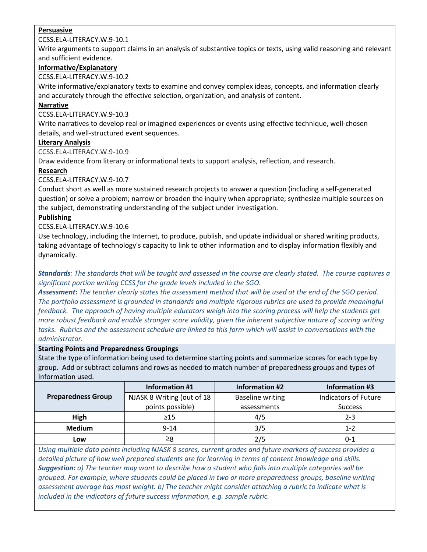## **Persuasive**

#### [CCSS.ELA-LITERACY.W.9-10.1](http://www.corestandards.org/ELA-Literacy/W/9-10/1/)

Write arguments to support claims in an analysis of substantive topics or texts, using valid reasoning and relevant and sufficient evidence.

## **Informative/Explanatory**

[CCSS.ELA-LITERACY.W.9-10.2](http://www.corestandards.org/ELA-Literacy/W/9-10/2/)

Write informative/explanatory texts to examine and convey complex ideas, concepts, and information clearly and accurately through the effective selection, organization, and analysis of content.

# **Narrative**

[CCSS.ELA-LITERACY.W.9-10.3](http://www.corestandards.org/ELA-Literacy/W/9-10/3/)

Write narratives to develop real or imagined experiences or events using effective technique, well-chosen details, and well-structured event sequences.

## **Literary Analysis**

[CCSS.ELA-LITERACY.W.9-10.9](http://www.corestandards.org/ELA-Literacy/W/9-10/9/)

Draw evidence from literary or informational texts to support analysis, reflection, and research.

# **Research**

[CCSS.ELA-LITERACY.W.9-10.7](http://www.corestandards.org/ELA-Literacy/W/9-10/7/)

Conduct short as well as more sustained research projects to answer a question (including a self-generated question) or solve a problem; narrow or broaden the inquiry when appropriate; synthesize multiple sources on the subject, demonstrating understanding of the subject under investigation.

# **Publishing**

[CCSS.ELA-LITERACY.W.9-10.6](http://www.corestandards.org/ELA-Literacy/W/9-10/6/)

Use technology, including the Internet, to produce, publish, and update individual or shared writing products, taking advantage of technology's capacity to link to other information and to display information flexibly and dynamically.

*Standards: The standards that will be taught and assessed in the course are clearly stated. The course captures a significant portion writing CCSS for the grade levels included in the SGO.*

*Assessment: The teacher clearly states the assessment method that will be used at the end of the SGO period. The portfolio assessment is grounded in standards and multiple rigorous rubrics are used to provide meaningful feedback. The approach of having multiple educators weigh into the scoring process will help the students get more robust feedback and enable stronger score validity, given the inherent subjective nature of scoring writing tasks. Rubrics and the assessment schedule are linked to this form which will assist in conversations with the administrator.*

#### **Starting Points and Preparedness Groupings**

State the type of information being used to determine starting points and summarize scores for each type by group. Add or subtract columns and rows as needed to match number of preparedness groups and types of Information used.

|                           | Information #1                                        | <b>Information #2</b> | <b>Information #3</b> |  |
|---------------------------|-------------------------------------------------------|-----------------------|-----------------------|--|
| <b>Preparedness Group</b> | NJASK 8 Writing (out of 18<br><b>Baseline writing</b> |                       | Indicators of Future  |  |
|                           | points possible)                                      | assessments           | <b>Success</b>        |  |
| High                      | $\geq$ 15                                             | 4/5                   | $2 - 3$               |  |
| <b>Medium</b>             | $9 - 14$                                              | 3/5                   | 1-2                   |  |
| Low                       | 28                                                    | 2/5                   | በ-1                   |  |

*Using multiple data points including NJASK 8 scores, current grades and future markers of success provides a detailed picture of how well prepared students are for learning in terms of content knowledge and skills. Suggestion: a) The teacher may want to describe how a student who falls into multiple categories will be grouped. For example, where students could be placed in two or more preparedness groups, baseline writing assessment average has most weight. b) The teacher might consider attaching a rubric to indicate what is included in the indicators of future success information, e.g. [sample rubric.](http://www.state.nj.us/education/AchieveNJ/teacher/SampleRubricForImportantMarkersOfFutureSuccess.pdf)*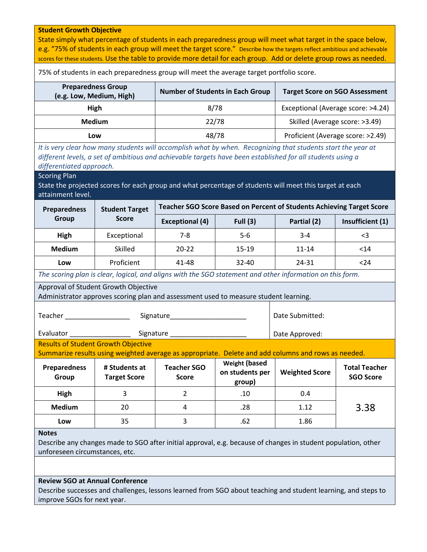### **Student Growth Objective** State simply what percentage of students in each preparedness group will meet what target in the space below, e.g. "75% of students in each group will meet the target score." Describe how the targets reflect ambitious and achievable scores for these students. Use the table to provide more detail for each group. Add or delete group rows as needed. 75% of students in each preparedness group will meet the average target portfolio score. **Preparedness Group (e.g. Low, Medium, High) Number of Students in Each Group Target Score on SGO Assessment High Branch Bigh** 8/78 **Exceptional (Average score: >4.24) Medium**  $\vert$  22/78 Skilled (Average score: >3.49) **Low 18/78** Proficient (Average score: >2.49) *It is very clear how many students will accomplish what by when. Recognizing that students start the year at different levels, a set of ambitious and achievable targets have been established for all students using a differentiated approach.* Scoring Plan State the projected scores for each group and what percentage of students will meet this target at each attainment level. **Preparedness Group Student Target Score Teacher SGO Score Based on Percent of Students Achieving Target Score Exceptional (4) Full (3) Partial (2) Insufficient (1) High** | Exceptional | 7-8 | 5-6 | 3-4 | <3 **Medium |** Skilled | 20-22 | 15-19 | 11-14 | <14 **Low** Proficient | 41-48 | 32-40 | 24-31 | <24 *The scoring plan is clear, logical, and aligns with the SGO statement and other information on this form.* Approval of Student Growth Objective Administrator approves scoring plan and assessment used to measure student learning. Teacher **Example 20** Signature Evaluator \_\_\_\_\_\_\_\_\_\_\_\_\_\_\_\_ Signature \_\_\_\_\_\_\_\_\_\_\_\_\_\_\_\_\_\_\_\_ Date Submitted: Date Approved: Results of Student Growth Objective Summarize results using weighted average as appropriate. Delete and add columns and rows as needed. **Preparedness Group # Students at Target Score Teacher SGO Score Weight (based on students per group) Weighted Score Total Teacher SGO Score High** 3 2 .10 0.4 **Medium** 20 4 .28 .28 .1.12 3.38 **Low | 35 | 3 | .62 | 1.86 Notes** Describe any changes made to SGO after initial approval, e.g. because of changes in student population, other unforeseen circumstances, etc. **Review SGO at Annual Conference**

Describe successes and challenges, lessons learned from SGO about teaching and student learning, and steps to improve SGOs for next year.